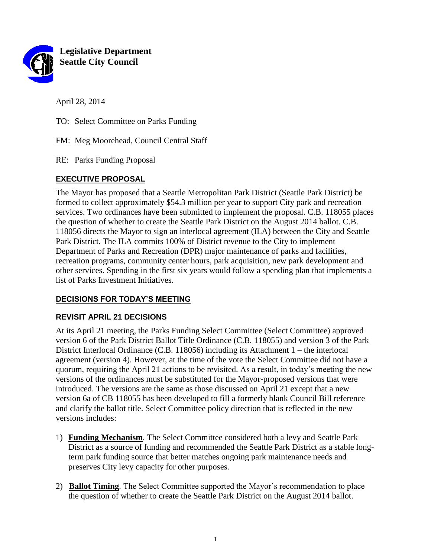

**Legislative Department Seattle City Council**

April 28, 2014

TO: Select Committee on Parks Funding

FM: Meg Moorehead, Council Central Staff

RE: Parks Funding Proposal

# **EXECUTIVE PROPOSAL**

The Mayor has proposed that a Seattle Metropolitan Park District (Seattle Park District) be formed to collect approximately \$54.3 million per year to support City park and recreation services. Two ordinances have been submitted to implement the proposal. C.B. 118055 places the question of whether to create the Seattle Park District on the August 2014 ballot. C.B. 118056 directs the Mayor to sign an interlocal agreement (ILA) between the City and Seattle Park District. The ILA commits 100% of District revenue to the City to implement Department of Parks and Recreation (DPR) major maintenance of parks and facilities, recreation programs, community center hours, park acquisition, new park development and other services. Spending in the first six years would follow a spending plan that implements a list of Parks Investment Initiatives.

## **DECISIONS FOR TODAY'S MEETING**

## **REVISIT APRIL 21 DECISIONS**

At its April 21 meeting, the Parks Funding Select Committee (Select Committee) approved version 6 of the Park District Ballot Title Ordinance (C.B. 118055) and version 3 of the Park District Interlocal Ordinance (C.B. 118056) including its Attachment 1 – the interlocal agreement (version 4). However, at the time of the vote the Select Committee did not have a quorum, requiring the April 21 actions to be revisited. As a result, in today's meeting the new versions of the ordinances must be substituted for the Mayor-proposed versions that were introduced. The versions are the same as those discussed on April 21 except that a new version 6a of CB 118055 has been developed to fill a formerly blank Council Bill reference and clarify the ballot title. Select Committee policy direction that is reflected in the new versions includes:

- 1) **Funding Mechanism**. The Select Committee considered both a levy and Seattle Park District as a source of funding and recommended the Seattle Park District as a stable longterm park funding source that better matches ongoing park maintenance needs and preserves City levy capacity for other purposes.
- 2) **Ballot Timing**. The Select Committee supported the Mayor's recommendation to place the question of whether to create the Seattle Park District on the August 2014 ballot.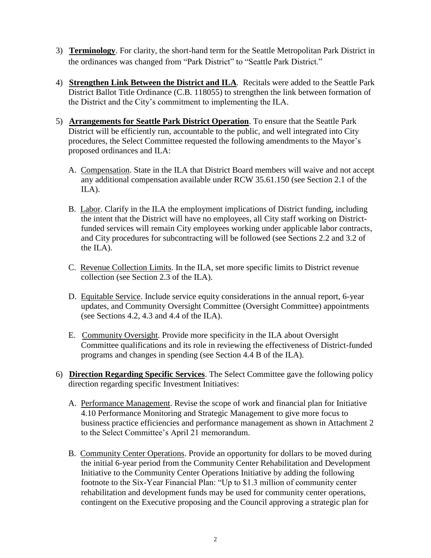- 3) **Terminology**. For clarity, the short-hand term for the Seattle Metropolitan Park District in the ordinances was changed from "Park District" to "Seattle Park District."
- 4) **Strengthen Link Between the District and ILA**. Recitals were added to the Seattle Park District Ballot Title Ordinance (C.B. 118055) to strengthen the link between formation of the District and the City's commitment to implementing the ILA.
- 5) **Arrangements for Seattle Park District Operation**. To ensure that the Seattle Park District will be efficiently run, accountable to the public, and well integrated into City procedures, the Select Committee requested the following amendments to the Mayor's proposed ordinances and ILA:
	- A. Compensation. State in the ILA that District Board members will waive and not accept any additional compensation available under RCW 35.61.150 (see Section 2.1 of the ILA).
	- B. Labor. Clarify in the ILA the employment implications of District funding, including the intent that the District will have no employees, all City staff working on Districtfunded services will remain City employees working under applicable labor contracts, and City procedures for subcontracting will be followed (see Sections 2.2 and 3.2 of the ILA).
	- C. Revenue Collection Limits. In the ILA, set more specific limits to District revenue collection (see Section 2.3 of the ILA).
	- D. Equitable Service. Include service equity considerations in the annual report, 6-year updates, and Community Oversight Committee (Oversight Committee) appointments (see Sections 4.2, 4.3 and 4.4 of the ILA).
	- E. Community Oversight. Provide more specificity in the ILA about Oversight Committee qualifications and its role in reviewing the effectiveness of District-funded programs and changes in spending (see Section 4.4 B of the ILA).
- 6) **Direction Regarding Specific Services**. The Select Committee gave the following policy direction regarding specific Investment Initiatives:
	- A. Performance Management. Revise the scope of work and financial plan for Initiative 4.10 Performance Monitoring and Strategic Management to give more focus to business practice efficiencies and performance management as shown in Attachment 2 to the Select Committee's April 21 memorandum.
	- B. Community Center Operations. Provide an opportunity for dollars to be moved during the initial 6-year period from the Community Center Rehabilitation and Development Initiative to the Community Center Operations Initiative by adding the following footnote to the Six-Year Financial Plan: "Up to \$1.3 million of community center rehabilitation and development funds may be used for community center operations, contingent on the Executive proposing and the Council approving a strategic plan for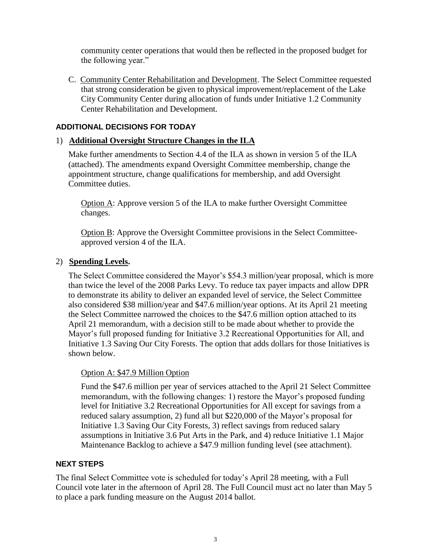community center operations that would then be reflected in the proposed budget for the following year."

C. Community Center Rehabilitation and Development. The Select Committee requested that strong consideration be given to physical improvement/replacement of the Lake City Community Center during allocation of funds under Initiative 1.2 Community Center Rehabilitation and Development.

## **ADDITIONAL DECISIONS FOR TODAY**

### 1) **Additional Oversight Structure Changes in the ILA**

Make further amendments to Section 4.4 of the ILA as shown in version 5 of the ILA (attached). The amendments expand Oversight Committee membership, change the appointment structure, change qualifications for membership, and add Oversight Committee duties.

Option A: Approve version 5 of the ILA to make further Oversight Committee changes.

Option B: Approve the Oversight Committee provisions in the Select Committeeapproved version 4 of the ILA.

#### 2) **Spending Levels.**

The Select Committee considered the Mayor's \$54.3 million/year proposal, which is more than twice the level of the 2008 Parks Levy. To reduce tax payer impacts and allow DPR to demonstrate its ability to deliver an expanded level of service, the Select Committee also considered \$38 million/year and \$47.6 million/year options. At its April 21 meeting the Select Committee narrowed the choices to the \$47.6 million option attached to its April 21 memorandum, with a decision still to be made about whether to provide the Mayor's full proposed funding for Initiative 3.2 Recreational Opportunities for All, and Initiative 1.3 Saving Our City Forests. The option that adds dollars for those Initiatives is shown below.

#### Option A: \$47.9 Million Option

Fund the \$47.6 million per year of services attached to the April 21 Select Committee memorandum, with the following changes: 1) restore the Mayor's proposed funding level for Initiative 3.2 Recreational Opportunities for All except for savings from a reduced salary assumption, 2) fund all but \$220,000 of the Mayor's proposal for Initiative 1.3 Saving Our City Forests, 3) reflect savings from reduced salary assumptions in Initiative 3.6 Put Arts in the Park, and 4) reduce Initiative 1.1 Major Maintenance Backlog to achieve a \$47.9 million funding level (see attachment).

#### **NEXT STEPS**

The final Select Committee vote is scheduled for today's April 28 meeting, with a Full Council vote later in the afternoon of April 28. The Full Council must act no later than May 5 to place a park funding measure on the August 2014 ballot.